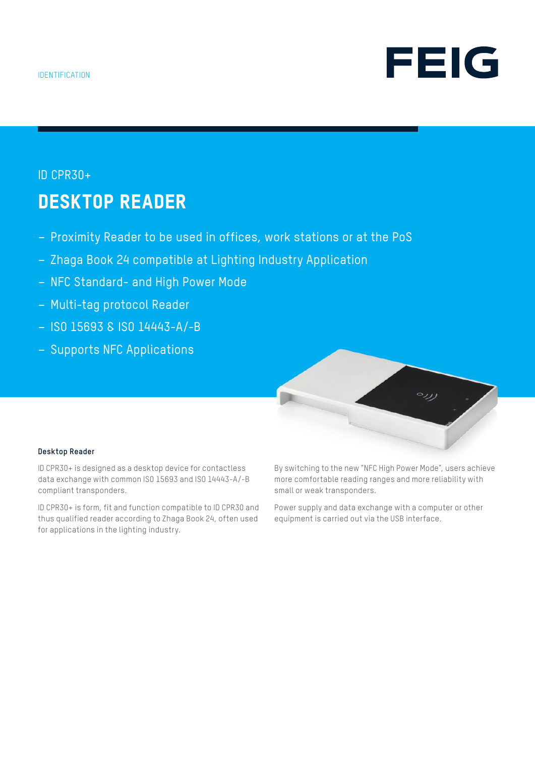

### ID CPR30+

# DESKTOP READER

- Proximity Reader to be used in offices, work stations or at the PoS
- Zhaga Book 24 compatible at Lighting Industry Application
- NFC Standard- and High Power Mode
- Multi-tag protocol Reader
- ISO 15693 & ISO 14443-A/-B
- Supports NFC Applications



#### **Desktop Reader**

ID CPR30+ is designed as a desktop device for contactless data exchange with common ISO 15693 and ISO 14443-A/-B compliant transponders.

ID CPR30+ is form, fit and function compatible to ID CPR30 and thus qualified reader according to Zhaga Book 24, often used for applications in the lighting industry.

By switching to the new "NFC High Power Mode", users achieve more comfortable reading ranges and more reliability with small or weak transponders.

Power supply and data exchange with a computer or other equipment is carried out via the USB interface.